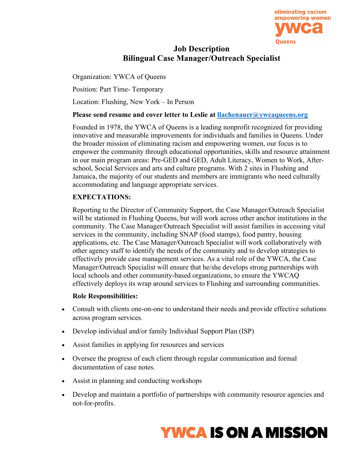

## **Job Description Bilingual Case Manager/Outreach Specialist**

Organization: YWCA of Queens

Position: Part Time- Temporary

Location: Flushing, New York – In Person

#### **Please send resume and cover letter to Leslie at [llachenauer@ywcaqueens.org](mailto:llachenauer@ywcaqueens.org)**

Founded in 1978, the YWCA of Queens is a leading nonprofit recognized for providing innovative and measurable improvements for individuals and families in Queens. Under the broader mission of eliminating racism and empowering women, our focus is to empower the community through educational opportunities, skills and resource attainment in our main program areas: Pre-GED and GED, Adult Literacy, Women to Work, Afterschool, Social Services and arts and culture programs. With 2 sites in Flushing and Jamaica, the majority of our students and members are immigrants who need culturally accommodating and language appropriate services.

### **EXPECTATIONS:**

Reporting to the Director of Community Support, the Case Manager/Outreach Specialist will be stationed in Flushing Queens, but will work across other anchor institutions in the community. The Case Manager/Outreach Specialist will assist families in accessing vital services in the community, including SNAP (food stamps), food pantry, housing applications, etc. The Case Manager/Outreach Specialist will work collaboratively with other agency staff to identify the needs of the community and to develop strategies to effectively provide case management services. As a vital role of the YWCA, the Case Manager/Outreach Specialist will ensure that he/she develops strong partnerships with local schools and other community-based organizations, to ensure the YWCAQ effectively deploys its wrap around services to Flushing and surrounding communities.

#### **Role Responsibilities:**

- Consult with clients one-on-one to understand their needs and provide effective solutions across program services.
- Develop individual and/or family Individual Support Plan (ISP)
- Assist families in applying for resources and services
- Oversee the progress of each client through regular communication and formal documentation of case notes.
- Assist in planning and conducting workshops
- Develop and maintain a portfolio of partnerships with community resource agencies and not-for-profits.

# **YWCA IS ON A MISSION**